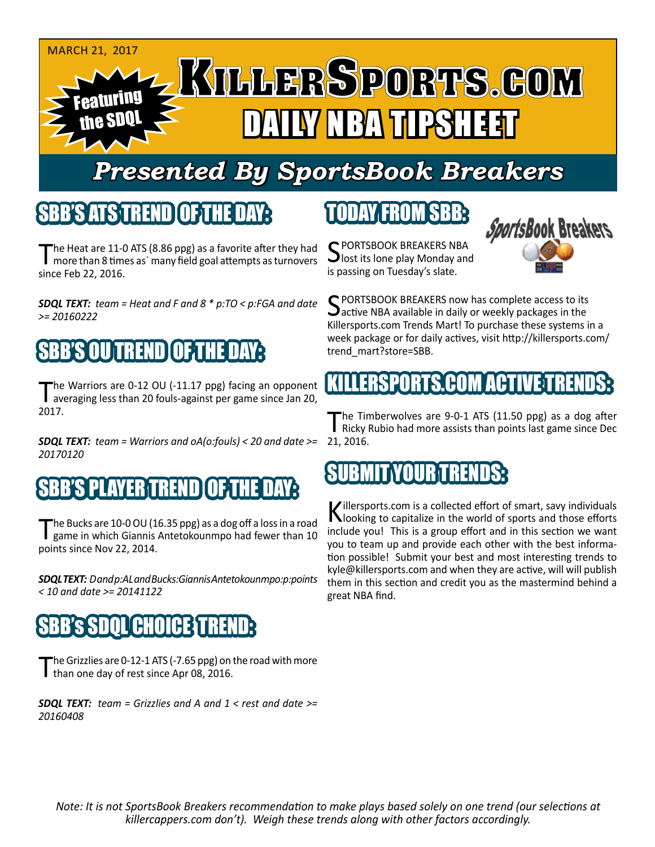

## *Presented By SportsBook Breakers*

#### SBB'S ATS TREND OF THE DAY:

The Heat are 11-0 ATS (8.86 ppg) as a favorite after they had<br>more than 8 times as` many field goal attempts as turnovers since Feb 22, 2016.

*SDQL TEXT: team = Heat and F and 8 \* p:TO < p:FGA and date >= 20160222*

## SBB'S OU TREND OF THE DAY:

The Warriors are 0-12 OU (-11.17 ppg) facing an opponent<br>averaging less than 20 fouls-against per game since Jan 20, 2017.

*SDQL TEXT: team = Warriors and oA(o:fouls) < 20 and date >= 20170120*

### SPLAYER TREND

The Bucks are 10-0 OU (16.35 ppg) as a dog off a loss in a road game in which Giannis Antetokounmpo had fewer than 10 points since Nov 22, 2014.

*SDQL TEXT: D and p:AL and Bucks:Giannis Antetokounmpo:p:points < 10 and date >= 20141122*

### **SBB's SDOL CHOICE TRE**

The Grizzlies are 0-12-1 ATS (-7.65 ppg) on the road with more than one day of rest since Apr 08, 2016.

*SDQL TEXT: team = Grizzlies and A and 1 < rest and date >= 20160408*

## TODAY FROM SBB:



C PORTSBOOK BREAKERS NBA lost its lone play Monday and is passing on Tuesday's slate.

SPORTSBOOK BREAKERS now has complete access to its<br>active NBA available in daily or weekly packages in the Killersports.com Trends Mart! To purchase these systems in a week package or for daily actives, visit http://killersports.com/ trend\_mart?store=SBB.

## KLERSPORTS.COM ACT

The Timberwolves are 9-0-1 ATS (11.50 ppg) as a dog after<br>Ricky Rubio had more assists than points last game since Dec 21, 2016.

### SUBMIT YOURTREND

Killersports.com is a collected effort of smart, savy individuals<br>Nooking to capitalize in the world of sports and those efforts include you! This is a group effort and in this section we want you to team up and provide each other with the best information possible! Submit your best and most interesting trends to kyle@killersports.com and when they are active, will will publish them in this section and credit you as the mastermind behind a great NBA find.